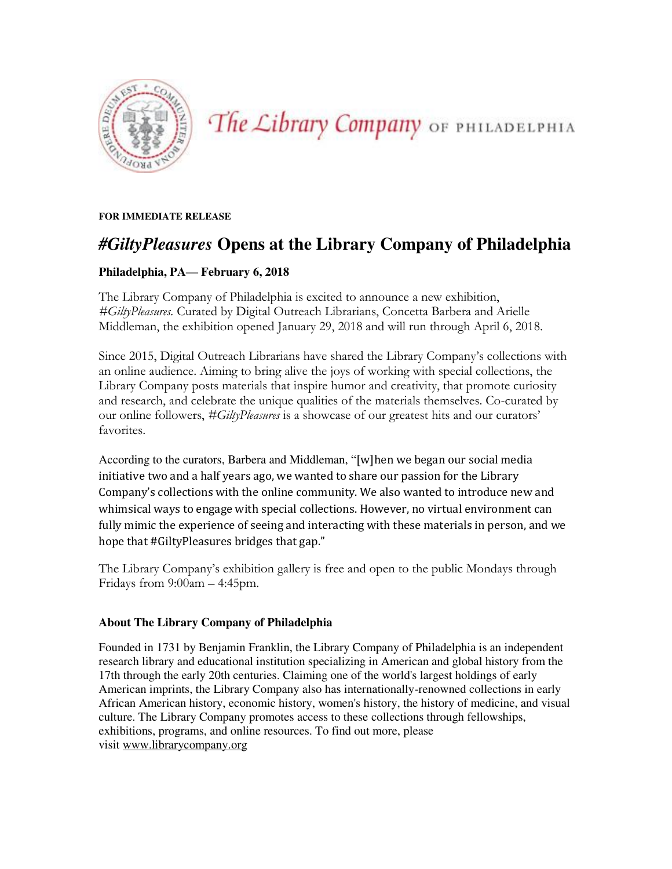

The Library Company OF PHILADELPHIA

**FOR IMMEDIATE RELEASE** 

## *#GiltyPleasures* **Opens at the Library Company of Philadelphia**

## **Philadelphia, PA— February 6, 2018**

The Library Company of Philadelphia is excited to announce a new exhibition, *#GiltyPleasures.* Curated by Digital Outreach Librarians, Concetta Barbera and Arielle Middleman, the exhibition opened January 29, 2018 and will run through April 6, 2018.

Since 2015, Digital Outreach Librarians have shared the Library Company's collections with an online audience. Aiming to bring alive the joys of working with special collections, the Library Company posts materials that inspire humor and creativity, that promote curiosity and research, and celebrate the unique qualities of the materials themselves. Co-curated by our online followers, *#GiltyPleasures* is a showcase of our greatest hits and our curators' favorites.

According to the curators, Barbera and Middleman, "[w]hen we began our social media initiative two and a half years ago, we wanted to share our passion for the Library Company's collections with the online community. We also wanted to introduce new and whimsical ways to engage with special collections. However, no virtual environment can fully mimic the experience of seeing and interacting with these materials in person, and we hope that #GiltyPleasures bridges that gap."

The Library Company's exhibition gallery is free and open to the public Mondays through Fridays from 9:00am – 4:45pm.

## **About The Library Company of Philadelphia**

Founded in 1731 by Benjamin Franklin, the Library Company of Philadelphia is an independent research library and educational institution specializing in American and global history from the 17th through the early 20th centuries. Claiming one of the world's largest holdings of early American imprints, the Library Company also has internationally-renowned collections in early African American history, economic history, women's history, the history of medicine, and visual culture. The Library Company promotes access to these collections through fellowships, exhibitions, programs, and online resources. To find out more, please visi[t www.librarycompany.org](http://librarycompany.org/)